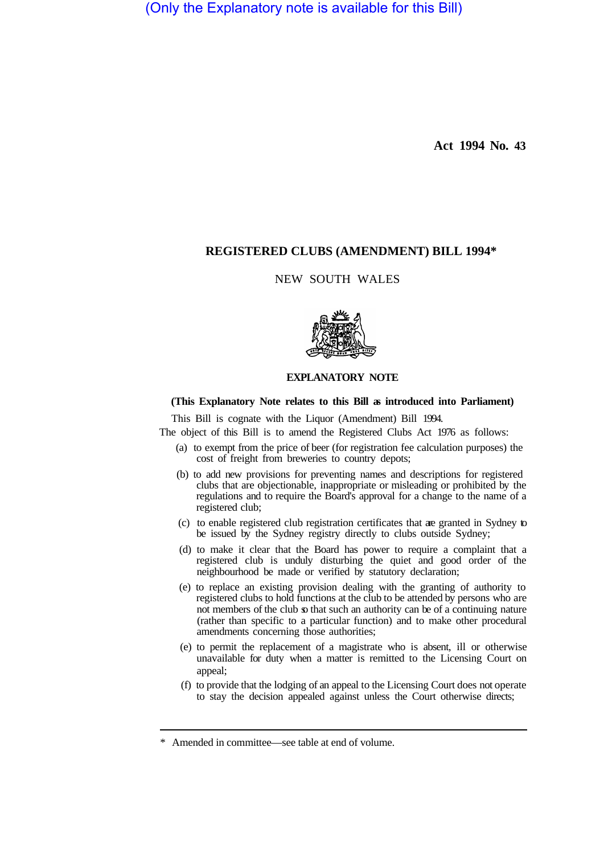(Only the Explanatory note is available for this Bill)

**Act 1994 No. 43** 

### **REGISTERED CLUBS (AMENDMENT) BILL 1994\***

# NEW SOUTH WALES



# **EXPLANATORY NOTE**

#### **(This Explanatory Note relates to this Bill as introduced into Parliament)**

This Bill is cognate with the Liquor (Amendment) Bill 1994.

The object of this Bill is to amend the Registered Clubs Act 1976 as follows:

- (a) to exempt from the price of beer (for registration fee calculation purposes) the cost of freight from breweries to country depots;
- (b) to add new provisions for preventing names and descriptions for registered clubs that are objectionable, inappropriate or misleading or prohibited by the regulations and to require the Board's approval for a change to the name of a registered club;
- (c) to enable registered club registration certificates that are granted in Sydney to be issued by the Sydney registry directly to clubs outside Sydney;
- (d) to make it clear that the Board has power to require a complaint that a registered club is unduly disturbing the quiet and good order of the neighbourhood be made or verified by statutory declaration;
- (e) to replace an existing provision dealing with the granting of authority to registered clubs to hold functions at the club to be attended by persons who are not members of the club so that such an authority can be of a continuing nature (rather than specific to a particular function) and to make other procedural amendments concerning those authorities;
- (e) to permit the replacement of a magistrate who is absent, ill or otherwise unavailable for duty when a matter is remitted to the Licensing Court on appeal;
- (f) to provide that the lodging of an appeal to the Licensing Court does not operate to stay the decision appealed against unless the Court otherwise directs;

<sup>\*</sup> Amended in committee—see table at end of volume.